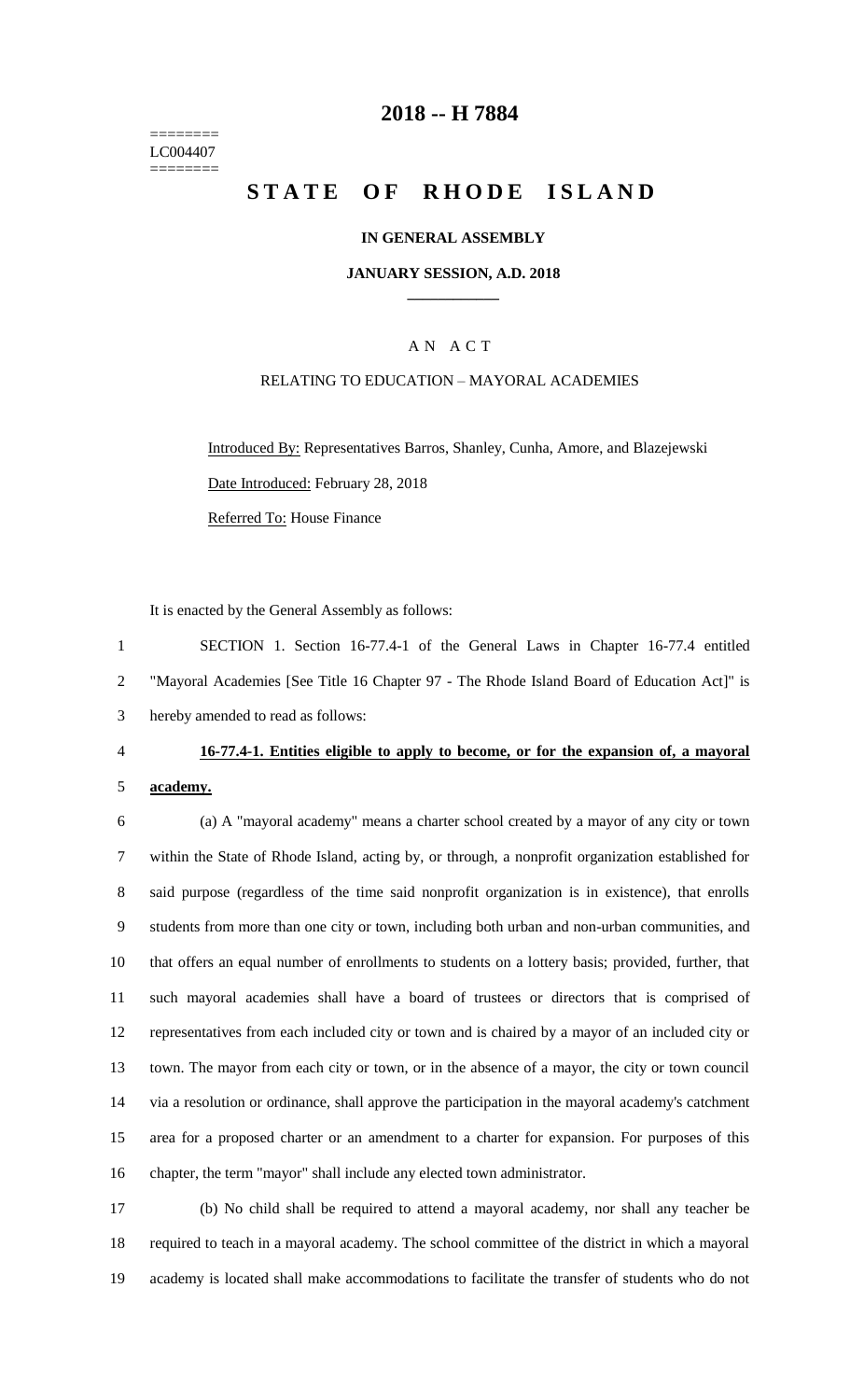======== LC004407 ========

### **-- H 7884**

# **STATE OF RHODE ISLAND**

#### **IN GENERAL ASSEMBLY**

#### **JANUARY SESSION, A.D. 2018 \_\_\_\_\_\_\_\_\_\_\_\_**

### A N A C T

### RELATING TO EDUCATION – MAYORAL ACADEMIES

Introduced By: Representatives Barros, Shanley, Cunha, Amore, and Blazejewski Date Introduced: February 28, 2018 Referred To: House Finance

It is enacted by the General Assembly as follows:

 SECTION 1. Section 16-77.4-1 of the General Laws in Chapter 16-77.4 entitled "Mayoral Academies [See Title 16 Chapter 97 - The Rhode Island Board of Education Act]" is hereby amended to read as follows:

#### **16-77.4-1. Entities eligible to apply to become, or for the expansion of, a mayoral**

**academy.**

 (a) A "mayoral academy" means a charter school created by a mayor of any city or town within the State of Rhode Island, acting by, or through, a nonprofit organization established for said purpose (regardless of the time said nonprofit organization is in existence), that enrolls students from more than one city or town, including both urban and non-urban communities, and that offers an equal number of enrollments to students on a lottery basis; provided, further, that such mayoral academies shall have a board of trustees or directors that is comprised of representatives from each included city or town and is chaired by a mayor of an included city or town. The mayor from each city or town, or in the absence of a mayor, the city or town council via a resolution or ordinance, shall approve the participation in the mayoral academy's catchment area for a proposed charter or an amendment to a charter for expansion. For purposes of this chapter, the term "mayor" shall include any elected town administrator.

 (b) No child shall be required to attend a mayoral academy, nor shall any teacher be required to teach in a mayoral academy. The school committee of the district in which a mayoral academy is located shall make accommodations to facilitate the transfer of students who do not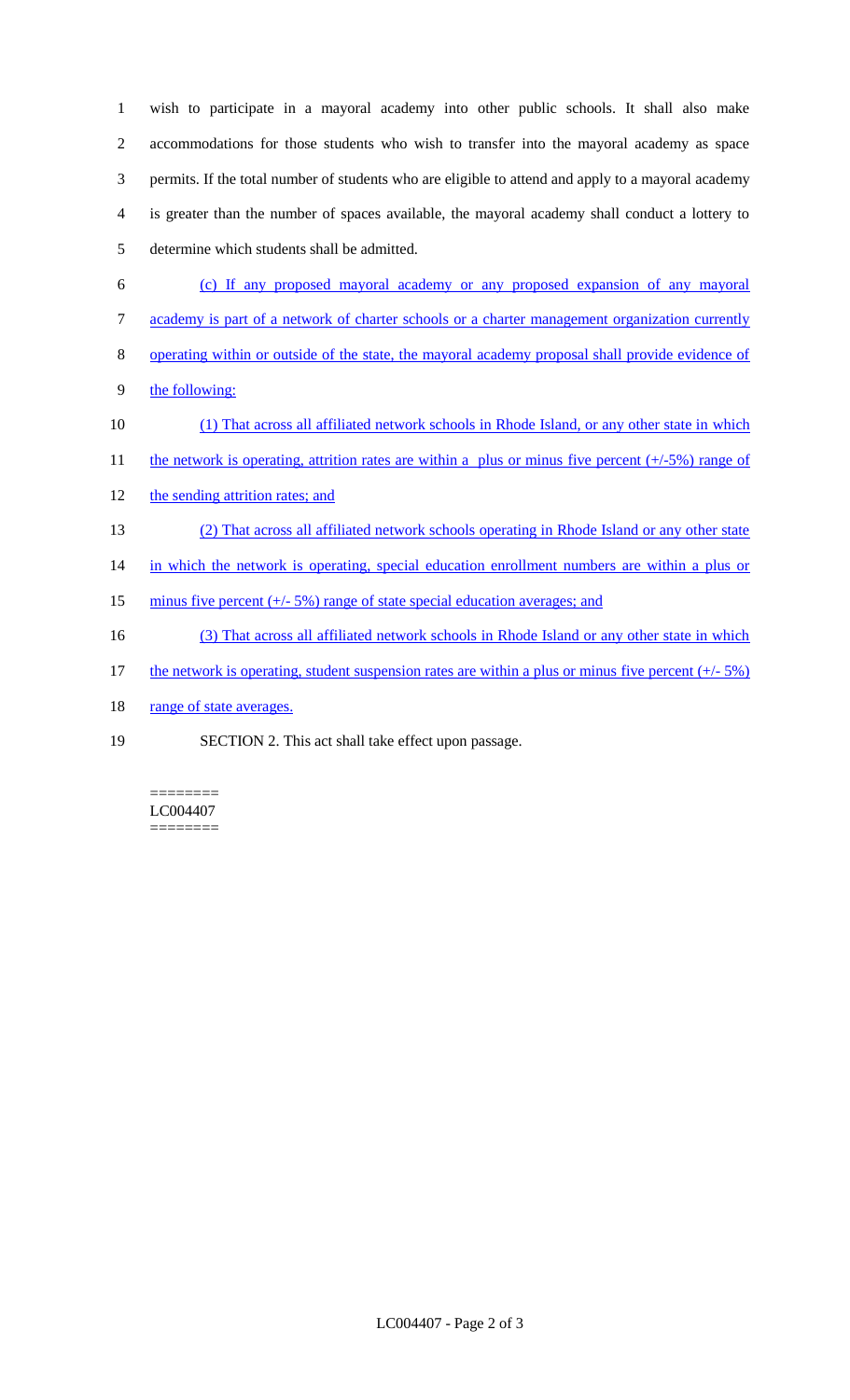wish to participate in a mayoral academy into other public schools. It shall also make accommodations for those students who wish to transfer into the mayoral academy as space permits. If the total number of students who are eligible to attend and apply to a mayoral academy is greater than the number of spaces available, the mayoral academy shall conduct a lottery to determine which students shall be admitted.

- 6 (c) If any proposed mayoral academy or any proposed expansion of any mayoral 7 academy is part of a network of charter schools or a charter management organization currently
- 8 operating within or outside of the state, the mayoral academy proposal shall provide evidence of
- 9 the following:
- 10 (1) That across all affiliated network schools in Rhode Island, or any other state in which
- 11 the network is operating, attrition rates are within a plus or minus five percent (+/-5%) range of
- 12 the sending attrition rates; and
- 13 (2) That across all affiliated network schools operating in Rhode Island or any other state
- 14 in which the network is operating, special education enrollment numbers are within a plus or
- 15 minus five percent (+/- 5%) range of state special education averages; and
- 16 (3) That across all affiliated network schools in Rhode Island or any other state in which
- 17 the network is operating, student suspension rates are within a plus or minus five percent (+/- 5%)
- 18 range of state averages.
- 19 SECTION 2. This act shall take effect upon passage.

======== LC004407 ========